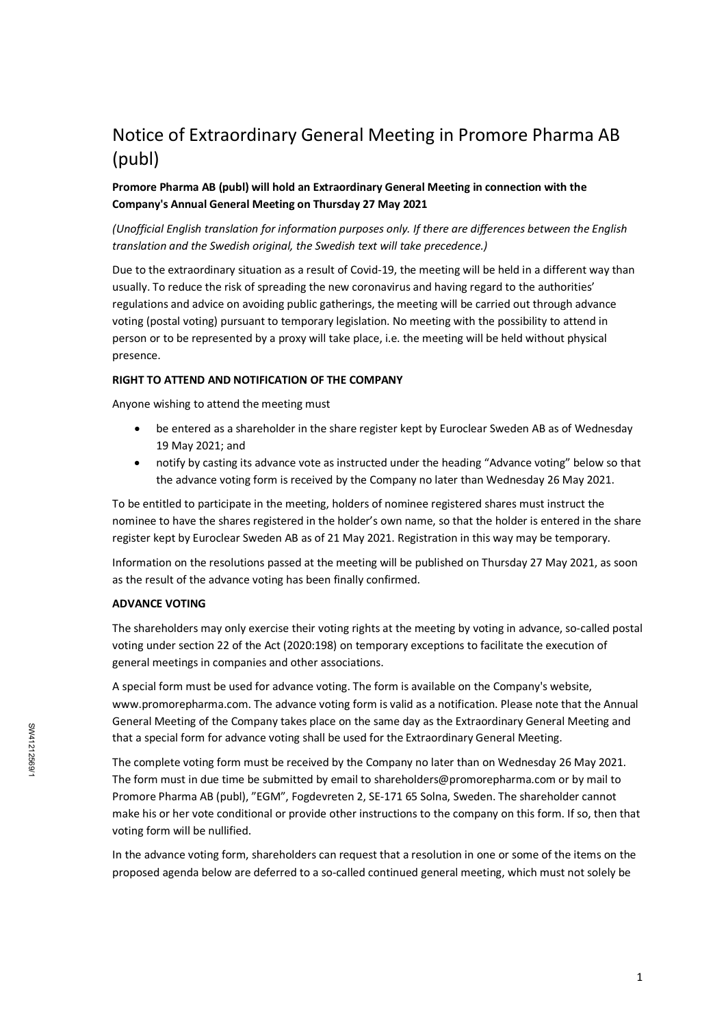# Notice of Extraordinary General Meeting in Promore Pharma AB (publ)

# **Promore Pharma AB (publ) will hold an Extraordinary General Meeting in connection with the Company's Annual General Meeting on Thursday 27 May 2021**

*(Unofficial English translation for information purposes only. If there are differences between the English translation and the Swedish original, the Swedish text will take precedence.)*

Due to the extraordinary situation as a result of Covid-19, the meeting will be held in a different way than usually. To reduce the risk of spreading the new coronavirus and having regard to the authorities' regulations and advice on avoiding public gatherings, the meeting will be carried out through advance voting (postal voting) pursuant to temporary legislation. No meeting with the possibility to attend in person or to be represented by a proxy will take place, i.e. the meeting will be held without physical presence.

#### **RIGHT TO ATTEND AND NOTIFICATION OF THE COMPANY**

Anyone wishing to attend the meeting must

- be entered as a shareholder in the share register kept by Euroclear Sweden AB as of Wednesday 19 May 2021; and
- notify by casting its advance vote as instructed under the heading "Advance voting" below so that the advance voting form is received by the Company no later than Wednesday 26 May 2021.

To be entitled to participate in the meeting, holders of nominee registered shares must instruct the nominee to have the shares registered in the holder's own name, so that the holder is entered in the share register kept by Euroclear Sweden AB as of 21 May 2021. Registration in this way may be temporary.

Information on the resolutions passed at the meeting will be published on Thursday 27 May 2021, as soon as the result of the advance voting has been finally confirmed.

## **ADVANCE VOTING**

The shareholders may only exercise their voting rights at the meeting by voting in advance, so-called postal voting under section 22 of the Act (2020:198) on temporary exceptions to facilitate the execution of general meetings in companies and other associations.

A special form must be used for advance voting. The form is available on the Company's website, www.promorepharma.com. The advance voting form is valid as a notification. Please note that the Annual General Meeting of the Company takes place on the same day as the Extraordinary General Meeting and that a special form for advance voting shall be used for the Extraordinary General Meeting.

The complete voting form must be received by the Company no later than on Wednesday 26 May 2021. The form must in due time be submitted by email to shareholders@promorepharma.com or by mail to Promore Pharma AB (publ), "EGM", Fogdevreten 2, SE-171 65 Solna, Sweden. The shareholder cannot make his or her vote conditional or provide other instructions to the company on this form. If so, then that voting form will be nullified.

In the advance voting form, shareholders can request that a resolution in one or some of the items on the proposed agenda below are deferred to a so-called continued general meeting, which must not solely be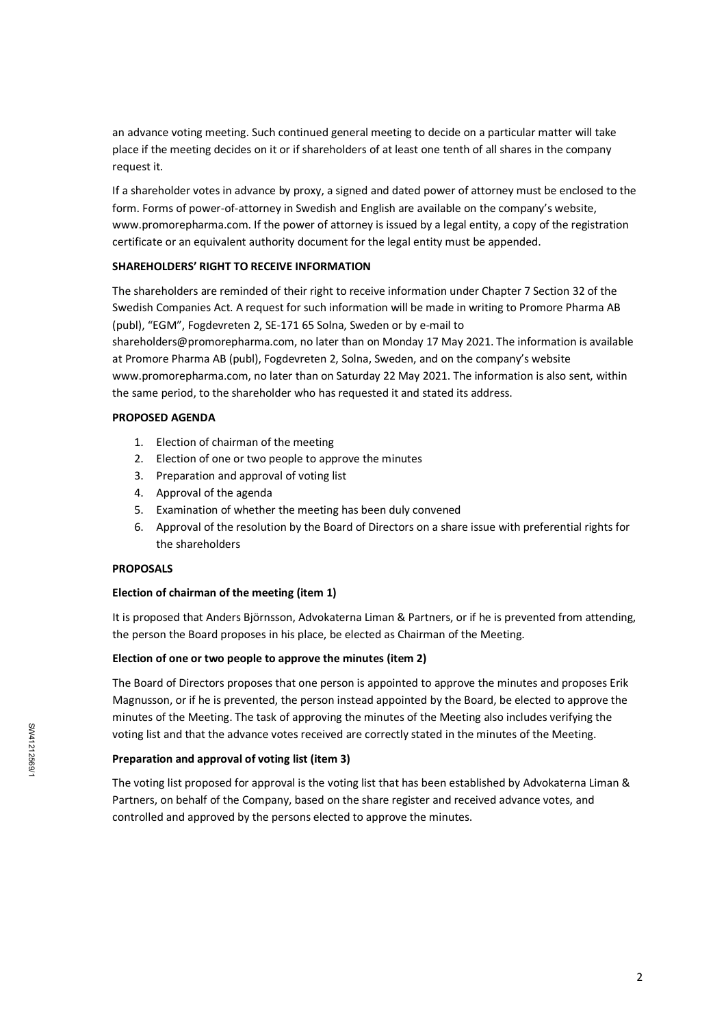an advance voting meeting. Such continued general meeting to decide on a particular matter will take place if the meeting decides on it or if shareholders of at least one tenth of all shares in the company request it.

If a shareholder votes in advance by proxy, a signed and dated power of attorney must be enclosed to the form. Forms of power-of-attorney in Swedish and English are available on the company's website, www.promorepharma.com. If the power of attorney is issued by a legal entity, a copy of the registration certificate or an equivalent authority document for the legal entity must be appended.

## **SHAREHOLDERS' RIGHT TO RECEIVE INFORMATION**

The shareholders are reminded of their right to receive information under Chapter 7 Section 32 of the Swedish Companies Act. A request for such information will be made in writing to Promore Pharma AB (publ), "EGM", Fogdevreten 2, SE-171 65 Solna, Sweden or by e-mail to shareholders@promorepharma.com, no later than on Monday 17 May 2021. The information is available at Promore Pharma AB (publ), Fogdevreten 2, Solna, Sweden, and on the company's website www.promorepharma.com, no later than on Saturday 22 May 2021. The information is also sent, within the same period, to the shareholder who has requested it and stated its address.

#### **PROPOSED AGENDA**

- 1. Election of chairman of the meeting
- 2. Election of one or two people to approve the minutes
- 3. Preparation and approval of voting list
- 4. Approval of the agenda
- 5. Examination of whether the meeting has been duly convened
- 6. Approval of the resolution by the Board of Directors on a share issue with preferential rights for the shareholders

## **PROPOSALS**

#### **Election of chairman of the meeting (item 1)**

It is proposed that Anders Björnsson, Advokaterna Liman & Partners, or if he is prevented from attending, the person the Board proposes in his place, be elected as Chairman of the Meeting.

#### **Election of one or two people to approve the minutes (item 2)**

The Board of Directors proposes that one person is appointed to approve the minutes and proposes Erik Magnusson, or if he is prevented, the person instead appointed by the Board, be elected to approve the minutes of the Meeting. The task of approving the minutes of the Meeting also includes verifying the voting list and that the advance votes received are correctly stated in the minutes of the Meeting.

#### **Preparation and approval of voting list (item 3)**

The voting list proposed for approval is the voting list that has been established by Advokaterna Liman & Partners, on behalf of the Company, based on the share register and received advance votes, and controlled and approved by the persons elected to approve the minutes.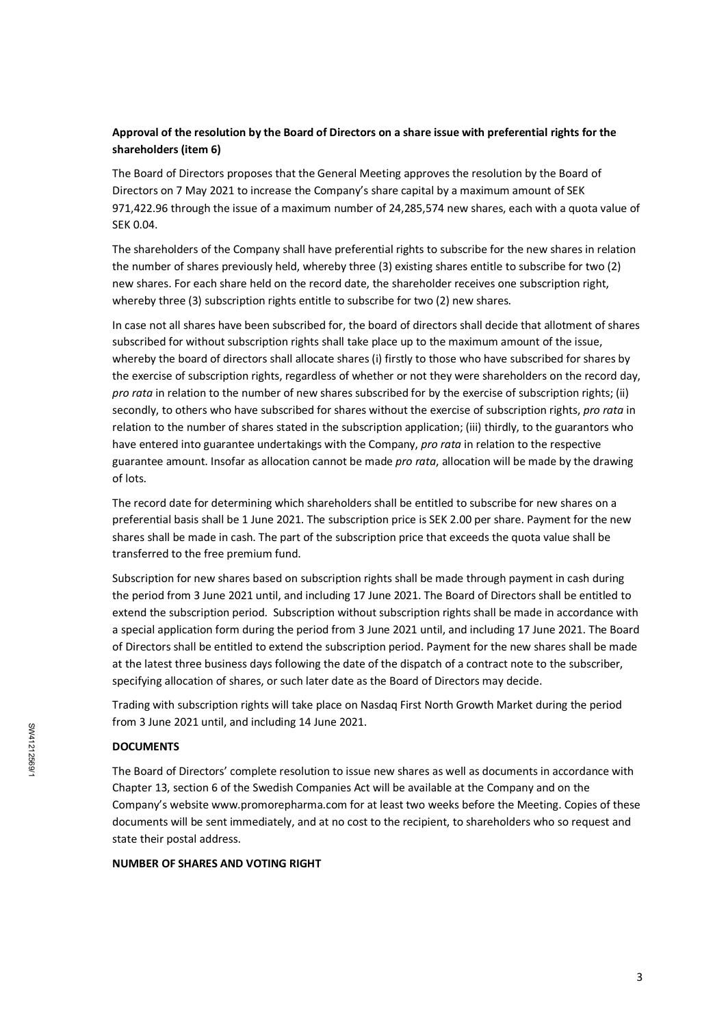# **Approval of the resolution by the Board of Directors on a share issue with preferential rights for the shareholders (item 6)**

The Board of Directors proposes that the General Meeting approves the resolution by the Board of Directors on 7 May 2021 to increase the Company's share capital by a maximum amount of SEK 971,422.96 through the issue of a maximum number of 24,285,574 new shares, each with a quota value of SEK 0.04.

The shareholders of the Company shall have preferential rights to subscribe for the new shares in relation the number of shares previously held, whereby three (3) existing shares entitle to subscribe for two (2) new shares. For each share held on the record date, the shareholder receives one subscription right, whereby three (3) subscription rights entitle to subscribe for two (2) new shares.

In case not all shares have been subscribed for, the board of directors shall decide that allotment of shares subscribed for without subscription rights shall take place up to the maximum amount of the issue, whereby the board of directors shall allocate shares (i) firstly to those who have subscribed for shares by the exercise of subscription rights, regardless of whether or not they were shareholders on the record day, *pro rata* in relation to the number of new shares subscribed for by the exercise of subscription rights; (ii) secondly, to others who have subscribed for shares without the exercise of subscription rights, *pro rata* in relation to the number of shares stated in the subscription application; (iii) thirdly, to the guarantors who have entered into guarantee undertakings with the Company, *pro rata* in relation to the respective guarantee amount. Insofar as allocation cannot be made *pro rata*, allocation will be made by the drawing of lots.

The record date for determining which shareholders shall be entitled to subscribe for new shares on a preferential basis shall be 1 June 2021. The subscription price is SEK 2.00 per share. Payment for the new shares shall be made in cash. The part of the subscription price that exceeds the quota value shall be transferred to the free premium fund.

Subscription for new shares based on subscription rights shall be made through payment in cash during the period from 3 June 2021 until, and including 17 June 2021. The Board of Directors shall be entitled to extend the subscription period. Subscription without subscription rights shall be made in accordance with a special application form during the period from 3 June 2021 until, and including 17 June 2021. The Board of Directors shall be entitled to extend the subscription period. Payment for the new shares shall be made at the latest three business days following the date of the dispatch of a contract note to the subscriber, specifying allocation of shares, or such later date as the Board of Directors may decide.

Trading with subscription rights will take place on Nasdaq First North Growth Market during the period from 3 June 2021 until, and including 14 June 2021.

#### **DOCUMENTS**

The Board of Directors' complete resolution to issue new shares as well as documents in accordance with Chapter 13, section 6 of the Swedish Companies Act will be available at the Company and on the Company's website www.promorepharma.com for at least two weeks before the Meeting. Copies of these documents will be sent immediately, and at no cost to the recipient, to shareholders who so request and state their postal address.

#### **NUMBER OF SHARES AND VOTING RIGHT**